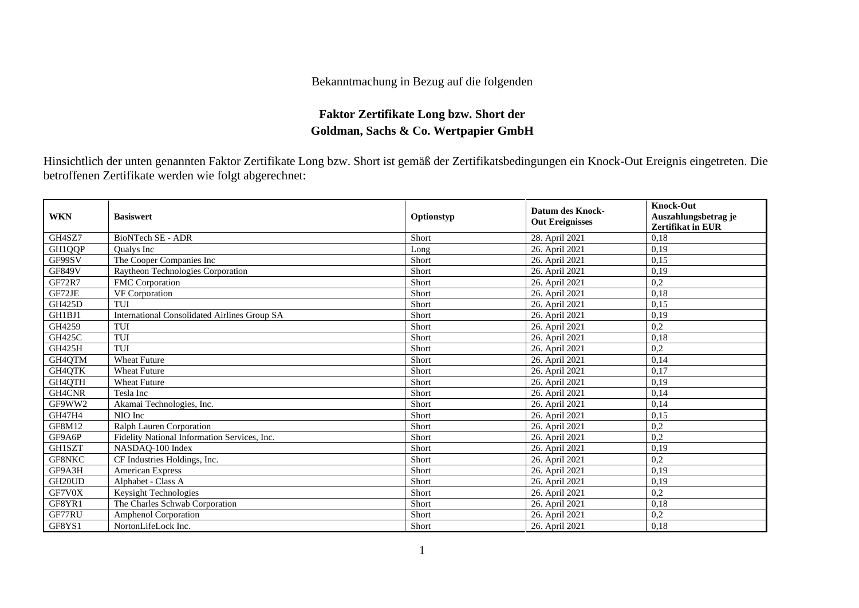## Bekanntmachung in Bezug auf die folgenden

## **Faktor Zertifikate Long bzw. Short der Goldman, Sachs & Co. Wertpapier GmbH**

Hinsichtlich der unten genannten Faktor Zertifikate Long bzw. Short ist gemäß der Zertifikatsbedingungen ein Knock-Out Ereignis eingetreten. Die betroffenen Zertifikate werden wie folgt abgerechnet:

| <b>WKN</b>          | <b>Basiswert</b>                             | Optionstyp | <b>Datum des Knock-</b><br><b>Out Ereignisses</b> | <b>Knock-Out</b><br>Auszahlungsbetrag je<br>Zertifikat in EUR |
|---------------------|----------------------------------------------|------------|---------------------------------------------------|---------------------------------------------------------------|
| GH4SZ7              | <b>BioNTech SE - ADR</b>                     | Short      | 28. April 2021                                    | 0,18                                                          |
| GH1QQP              | <b>Oualys</b> Inc                            | Long       | 26. April 2021                                    | 0,19                                                          |
| GF99SV              | The Cooper Companies Inc                     | Short      | 26. April 2021                                    | 0,15                                                          |
| <b>GF849V</b>       | Raytheon Technologies Corporation            | Short      | 26. April 2021                                    | 0,19                                                          |
| <b>GF72R7</b>       | FMC Corporation                              | Short      | 26. April 2021                                    | 0,2                                                           |
| GF72JE              | VF Corporation                               | Short      | 26. April 2021                                    | 0,18                                                          |
| GH425D              | TUI                                          | Short      | 26. April 2021                                    | 0,15                                                          |
| GH1BJ1              | International Consolidated Airlines Group SA | Short      | 26. April 2021                                    | 0,19                                                          |
| GH4259              | TUI                                          | Short      | 26. April 2021                                    | 0,2                                                           |
| <b>GH425C</b>       | TUI                                          | Short      | 26. April 2021                                    | 0,18                                                          |
| GH425H              | TUI                                          | Short      | 26. April 2021                                    | 0,2                                                           |
| GH4QTM              | <b>Wheat Future</b>                          | Short      | 26. April 2021                                    | 0.14                                                          |
| GH4QTK              | <b>Wheat Future</b>                          | Short      | 26. April 2021                                    | 0,17                                                          |
| GH4QTH              | <b>Wheat Future</b>                          | Short      | 26. April 2021                                    | 0,19                                                          |
| GH4CNR              | Tesla Inc                                    | Short      | 26. April 2021                                    | 0,14                                                          |
| GF9WW2              | Akamai Technologies, Inc.                    | Short      | 26. April 2021                                    | 0,14                                                          |
| <b>GH47H4</b>       | NIO Inc                                      | Short      | 26. April 2021                                    | 0,15                                                          |
| <b>GF8M12</b>       | Ralph Lauren Corporation                     | Short      | 26. April 2021                                    | 0,2                                                           |
| GF9A6P              | Fidelity National Information Services, Inc. | Short      | 26. April 2021                                    | 0,2                                                           |
| GH1SZT              | NASDAO-100 Index                             | Short      | 26. April 2021                                    | 0,19                                                          |
| GF8NKC              | CF Industries Holdings, Inc.                 | Short      | 26. April 2021                                    | 0,2                                                           |
| GF9A3H              | <b>American Express</b>                      | Short      | 26. April 2021                                    | 0,19                                                          |
| GH <sub>20</sub> UD | Alphabet - Class A                           | Short      | 26. April 2021                                    | 0,19                                                          |
| GF7V0X              | Keysight Technologies                        | Short      | 26. April 2021                                    | 0,2                                                           |
| GF8YR1              | The Charles Schwab Corporation               | Short      | 26. April 2021                                    | 0,18                                                          |
| GF77RU              | <b>Amphenol Corporation</b>                  | Short      | 26. April 2021                                    | 0,2                                                           |
| GF8YS1              | NortonLifeLock Inc.                          | Short      | 26. April 2021                                    | 0,18                                                          |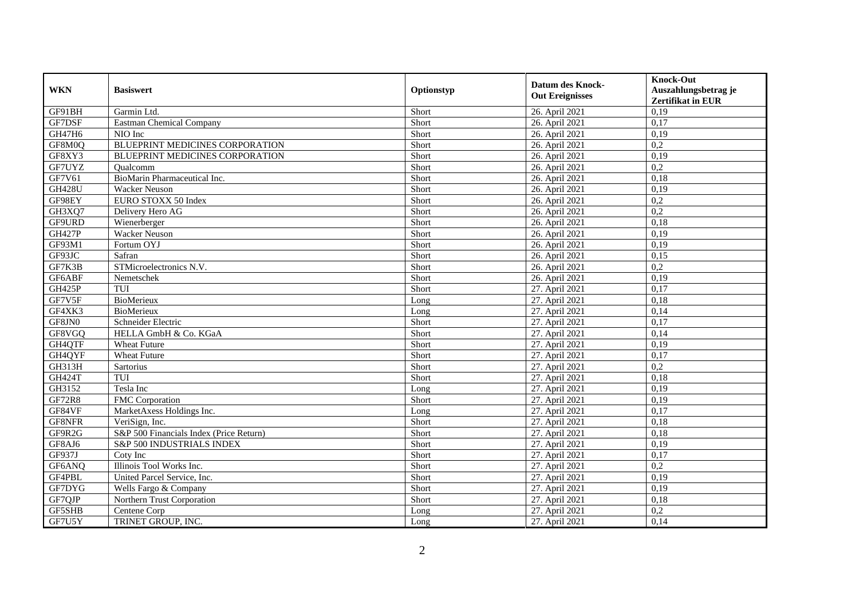| <b>WKN</b>    | <b>Basiswert</b>                        | Optionstyp | <b>Datum des Knock-</b><br><b>Out Ereignisses</b> | <b>Knock-Out</b><br>Auszahlungsbetrag je<br><b>Zertifikat in EUR</b> |
|---------------|-----------------------------------------|------------|---------------------------------------------------|----------------------------------------------------------------------|
| GF91BH        | Garmin Ltd.                             | Short      | 26. April 2021                                    | 0,19                                                                 |
| GF7DSF        | Eastman Chemical Company                | Short      | 26. April 2021                                    | 0,17                                                                 |
| GH47H6        | NIO Inc                                 | Short      | 26. April 2021                                    | 0,19                                                                 |
| GF8M0Q        | BLUEPRINT MEDICINES CORPORATION         | Short      | 26. April 2021                                    | 0,2                                                                  |
| GF8XY3        | BLUEPRINT MEDICINES CORPORATION         | Short      | 26. April 2021                                    | 0,19                                                                 |
| GF7UYZ        | Oualcomm                                | Short      | 26. April 2021                                    | $\overline{0.2}$                                                     |
| GF7V61        | BioMarin Pharmaceutical Inc.            | Short      | 26. April 2021                                    | 0,18                                                                 |
| <b>GH428U</b> | Wacker Neuson                           | Short      | 26. April 2021                                    | 0,19                                                                 |
| GF98EY        | EURO STOXX 50 Index                     | Short      | 26. April 2021                                    | 0,2                                                                  |
| GH3XQ7        | Delivery Hero AG                        | Short      | 26. April 2021                                    | 0,2                                                                  |
| GF9URD        | Wienerberger                            | Short      | 26. April 2021                                    | 0,18                                                                 |
| <b>GH427P</b> | <b>Wacker Neuson</b>                    | Short      | 26. April 2021                                    | 0,19                                                                 |
| GF93M1        | Fortum OYJ                              | Short      | 26. April 2021                                    | 0,19                                                                 |
| GF93JC        | Safran                                  | Short      | 26. April 2021                                    | 0,15                                                                 |
| GF7K3B        | STMicroelectronics N.V.                 | Short      | 26. April 2021                                    | 0,2                                                                  |
| GF6ABF        | Nemetschek                              | Short      | 26. April 2021                                    | 0,19                                                                 |
| <b>GH425P</b> | TUI                                     | Short      | 27. April 2021                                    | 0,17                                                                 |
| GF7V5F        | BioMerieux                              | Long       | 27. April 2021                                    | 0.18                                                                 |
| GF4XK3        | <b>BioMerieux</b>                       | Long       | 27. April 2021                                    | 0,14                                                                 |
| GF8JN0        | Schneider Electric                      | Short      | 27. April 2021                                    | 0,17                                                                 |
| GF8VGQ        | HELLA GmbH & Co. KGaA                   | Short      | 27. April 2021                                    | 0,14                                                                 |
| GH4QTF        | <b>Wheat Future</b>                     | Short      | 27. April 2021                                    | 0,19                                                                 |
| GH4QYF        | <b>Wheat Future</b>                     | Short      | 27. April 2021                                    | 0,17                                                                 |
| <b>GH313H</b> | Sartorius                               | Short      | 27. April 2021                                    | 0,2                                                                  |
| <b>GH424T</b> | TUI                                     | Short      | 27. April 2021                                    | 0,18                                                                 |
| GH3152        | Tesla Inc                               | Long       | 27. April 2021                                    | 0,19                                                                 |
| <b>GF72R8</b> | FMC Corporation                         | Short      | 27. April 2021                                    | 0,19                                                                 |
| GF84VF        | MarketAxess Holdings Inc.               | Long       | 27. April 2021                                    | 0,17                                                                 |
| GF8NFR        | VeriSign, Inc.                          | Short      | 27. April 2021                                    | 0,18                                                                 |
| GF9R2G        | S&P 500 Financials Index (Price Return) | Short      | 27. April 2021                                    | 0,18                                                                 |
| GF8AJ6        | S&P 500 INDUSTRIALS INDEX               | Short      | 27. April 2021                                    | 0,19                                                                 |
| GF937J        | Coty Inc                                | Short      | 27. April 2021                                    | 0,17                                                                 |
| GF6ANQ        | Illinois Tool Works Inc.                | Short      | 27. April 2021                                    | $\overline{0.2}$                                                     |
| GF4PBL        | United Parcel Service, Inc.             | Short      | 27. April 2021                                    | 0,19                                                                 |
| GF7DYG        | Wells Fargo & Company                   | Short      | 27. April 2021                                    | 0,19                                                                 |
| GF7QJP        | Northern Trust Corporation              | Short      | 27. April 2021                                    | 0,18                                                                 |
| GF5SHB        | Centene Corp                            | Long       | 27. April 2021                                    | 0,2                                                                  |
| GF7U5Y        | TRINET GROUP, INC.                      | Long       | 27. April 2021                                    | 0,14                                                                 |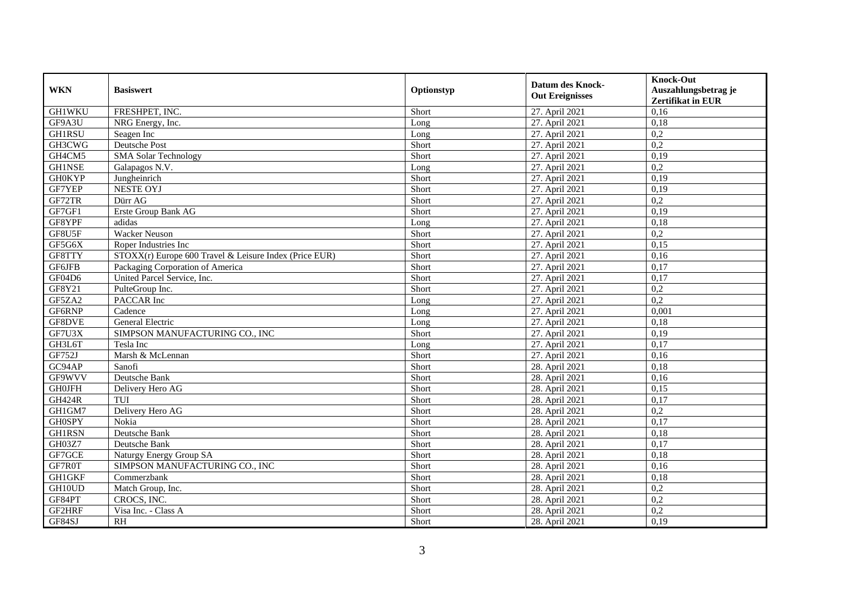| <b>WKN</b>    | <b>Basiswert</b>                                       | Optionstyp | <b>Datum des Knock-</b><br><b>Out Ereignisses</b> | <b>Knock-Out</b>         |
|---------------|--------------------------------------------------------|------------|---------------------------------------------------|--------------------------|
|               |                                                        |            |                                                   | Auszahlungsbetrag je     |
|               |                                                        |            |                                                   | <b>Zertifikat in EUR</b> |
| <b>GH1WKU</b> | FRESHPET, INC.                                         | Short      | 27. April 2021                                    | 0,16                     |
| GF9A3U        | NRG Energy, Inc.                                       | Long       | 27. April 2021                                    | 0,18                     |
| GH1RSU        | Seagen Inc                                             | Long       | 27. April 2021                                    | 0,2                      |
| GH3CWG        | <b>Deutsche Post</b>                                   | Short      | 27. April 2021                                    | 0,2                      |
| GH4CM5        | <b>SMA Solar Technology</b>                            | Short      | 27. April 2021                                    | 0,19                     |
| <b>GH1NSE</b> | Galapagos N.V.                                         | Long       | 27. April 2021                                    | 0,2                      |
| <b>GH0KYP</b> | Jungheinrich                                           | Short      | 27. April 2021                                    | 0,19                     |
| GF7YEP        | <b>NESTE OYJ</b>                                       | Short      | 27. April 2021                                    | 0,19                     |
| GF72TR        | Dürr AG                                                | Short      | 27. April 2021                                    | 0,2                      |
| GF7GF1        | Erste Group Bank AG                                    | Short      | 27. April 2021                                    | 0,19                     |
| GF8YPF        | adidas                                                 | Long       | 27. April 2021                                    | 0,18                     |
| GF8U5F        | <b>Wacker Neuson</b>                                   | Short      | 27. April 2021                                    | $\overline{0,2}$         |
| GF5G6X        | Roper Industries Inc                                   | Short      | 27. April 2021                                    | 0,15                     |
| GF8TTY        | STOXX(r) Europe 600 Travel & Leisure Index (Price EUR) | Short      | 27. April 2021                                    | 0,16                     |
| GF6JFB        | Packaging Corporation of America                       | Short      | 27. April 2021                                    | 0,17                     |
| GF04D6        | United Parcel Service, Inc.                            | Short      | 27. April 2021                                    | 0,17                     |
| GF8Y21        | PulteGroup Inc.                                        | Short      | 27. April 2021                                    | 0,2                      |
| GF5ZA2        | PACCAR Inc                                             | Long       | 27. April 2021                                    | 0,2                      |
| GF6RNP        | Cadence                                                | Long       | 27. April 2021                                    | 0,001                    |
| GF8DVE        | General Electric                                       | Long       | 27. April 2021                                    | 0,18                     |
| GF7U3X        | SIMPSON MANUFACTURING CO., INC                         | Short      | 27. April 2021                                    | 0,19                     |
| GH3L6T        | Tesla Inc                                              | Long       | 27. April 2021                                    | 0,17                     |
| GF752J        | Marsh & McLennan                                       | Short      | 27. April 2021                                    | 0,16                     |
| GC94AP        | Sanofi                                                 | Short      | 28. April 2021                                    | 0,18                     |
| GF9WVV        | Deutsche Bank                                          | Short      | 28. April 2021                                    | 0,16                     |
| <b>GH0JFH</b> | Delivery Hero AG                                       | Short      | 28. April 2021                                    | 0,15                     |
| <b>GH424R</b> | $T\overline{UI}$                                       | Short      | 28. April 2021                                    | 0,17                     |
| GH1GM7        | Delivery Hero AG                                       | Short      | 28. April 2021                                    | 0,2                      |
| <b>GH0SPY</b> | Nokia                                                  | Short      | 28. April 2021                                    | 0,17                     |
| GH1RSN        | Deutsche Bank                                          | Short      | 28. April 2021                                    | 0,18                     |
| GH03Z7        | Deutsche Bank                                          | Short      | 28. April 2021                                    | 0,17                     |
| GF7GCE        | Naturgy Energy Group SA                                | Short      | 28. April 2021                                    | 0,18                     |
| GF7R0T        | SIMPSON MANUFACTURING CO., INC                         | Short      | 28. April 2021                                    | 0,16                     |
| <b>GH1GKF</b> | Commerzbank                                            | Short      | 28. April 2021                                    | 0,18                     |
| GH10UD        | Match Group, Inc.                                      | Short      | 28. April 2021                                    | 0,2                      |
| GF84PT        | CROCS, INC.                                            | Short      | 28. April 2021                                    | 0,2                      |
| GF2HRF        | Visa Inc. - Class A                                    | Short      | 28. April 2021                                    | 0,2                      |
| GF84SJ        | R <sub>H</sub>                                         | Short      | 28. April 2021                                    | 0,19                     |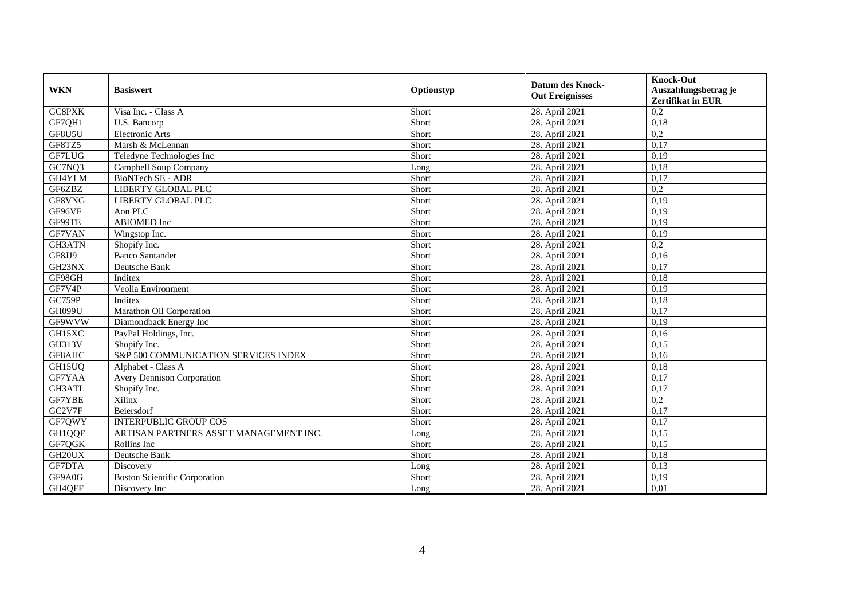| <b>WKN</b>          | <b>Basiswert</b>                       | Optionstyp | <b>Datum des Knock-</b><br><b>Out Ereignisses</b> | <b>Knock-Out</b><br>Auszahlungsbetrag je<br><b>Zertifikat in EUR</b> |
|---------------------|----------------------------------------|------------|---------------------------------------------------|----------------------------------------------------------------------|
| GC8PXK              | Visa Inc. - Class A                    | Short      | 28. April 2021                                    | 0,2                                                                  |
| GF7QH1              | U.S. Bancorp                           | Short      | 28. April 2021                                    | 0,18                                                                 |
| GF8U5U              | Electronic Arts                        | Short      | 28. April 2021                                    | 0,2                                                                  |
| GF8TZ5              | Marsh & McLennan                       | Short      | 28. April 2021                                    | 0,17                                                                 |
| <b>GF7LUG</b>       | Teledyne Technologies Inc              | Short      | 28. April 2021                                    | 0,19                                                                 |
| GC7NQ3              | Campbell Soup Company                  | Long       | 28. April 2021                                    | 0,18                                                                 |
| GH4YLM              | <b>BioNTech SE - ADR</b>               | Short      | 28. April 2021                                    | 0,17                                                                 |
| GF6ZBZ              | LIBERTY GLOBAL PLC                     | Short      | 28. April 2021                                    | 0,2                                                                  |
| GF8VNG              | <b>LIBERTY GLOBAL PLC</b>              | Short      | 28. April 2021                                    | 0,19                                                                 |
| GF96VF              | Aon PLC                                | Short      | 28. April 2021                                    | 0,19                                                                 |
| GF99TE              | ABIOMED Inc                            | Short      | 28. April 2021                                    | 0,19                                                                 |
| GF7VAN              | Wingstop Inc.                          | Short      | 28. April 2021                                    | 0,19                                                                 |
| GH3ATN              | Shopify Inc.                           | Short      | 28. April 2021                                    | 0,2                                                                  |
| GF8JJ9              | <b>Banco Santander</b>                 | Short      | 28. April 2021                                    | 0,16                                                                 |
| GH23NX              | Deutsche Bank                          | Short      | 28. April 2021                                    | 0,17                                                                 |
| GF98GH              | Inditex                                | Short      | 28. April 2021                                    | 0,18                                                                 |
| GF7V4P              | Veolia Environment                     | Short      | 28. April 2021                                    | 0,19                                                                 |
| GC759P              | Inditex                                | Short      | 28. April 2021                                    | 0,18                                                                 |
| <b>GH099U</b>       | Marathon Oil Corporation               | Short      | 28. April 2021                                    | 0,17                                                                 |
| GF9WVW              | Diamondback Energy Inc                 | Short      | 28. April 2021                                    | 0,19                                                                 |
| GH15XC              | PayPal Holdings, Inc.                  | Short      | 28. April 2021                                    | 0,16                                                                 |
| GH313V              | Shopify Inc.                           | Short      | 28. April 2021                                    | 0,15                                                                 |
| GF8AHC              | S&P 500 COMMUNICATION SERVICES INDEX   | Short      | 28. April 2021                                    | 0,16                                                                 |
| GH15UQ              | Alphabet - Class A                     | Short      | 28. April 2021                                    | 0,18                                                                 |
| GF7YAA              | <b>Avery Dennison Corporation</b>      | Short      | 28. April 2021                                    | 0,17                                                                 |
| GH3ATL              | Shopify Inc.                           | Short      | 28. April 2021                                    | 0,17                                                                 |
| <b>GF7YBE</b>       | Xilinx                                 | Short      | 28. April 2021                                    | 0,2                                                                  |
| GC2V7F              | Beiersdorf                             | Short      | 28. April 2021                                    | 0,17                                                                 |
| GF7QWY              | <b>INTERPUBLIC GROUP COS</b>           | Short      | 28. April 2021                                    | 0,17                                                                 |
| GH1QQF              | ARTISAN PARTNERS ASSET MANAGEMENT INC. | Long       | 28. April 2021                                    | 0,15                                                                 |
| GF7QGK              | Rollins Inc                            | Short      | 28. April 2021                                    | 0,15                                                                 |
| GH <sub>20U</sub> X | Deutsche Bank                          | Short      | 28. April 2021                                    | 0,18                                                                 |
| GF7DTA              | Discovery                              | Long       | 28. April 2021                                    | 0,13                                                                 |
| GF9A0G              | <b>Boston Scientific Corporation</b>   | Short      | 28. April 2021                                    | 0,19                                                                 |
| GH4QFF              | Discovery Inc                          | Long       | 28. April 2021                                    | 0,01                                                                 |